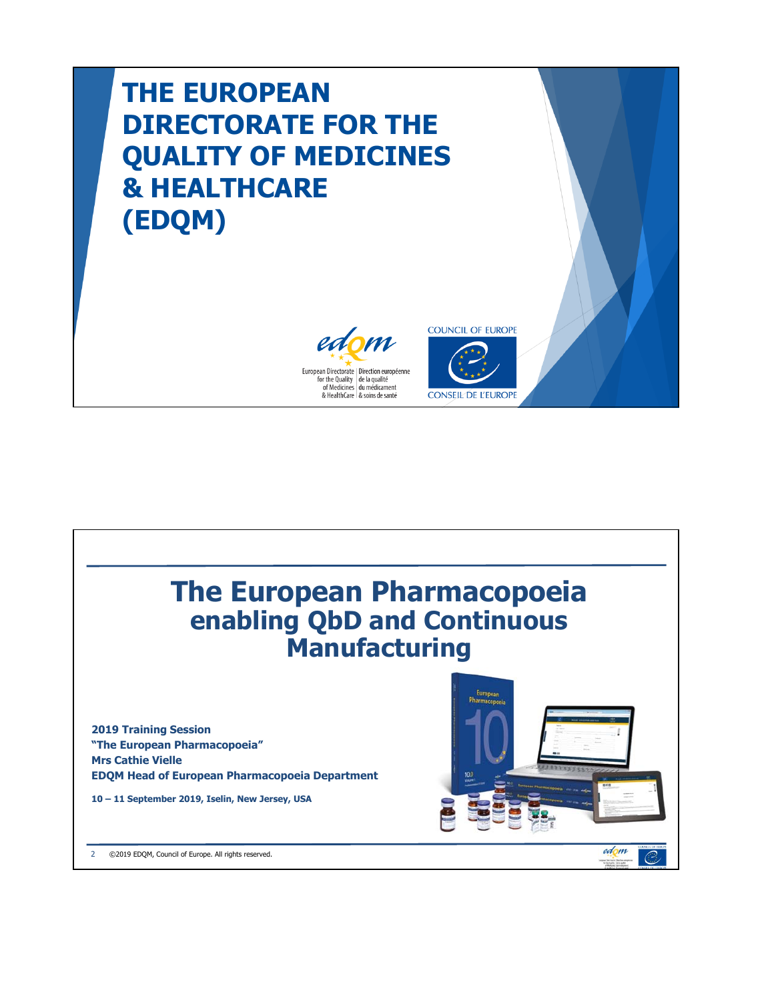## **THE EUROPEAN DIRECTORATE FOR THE QUALITY OF MEDICINES & HEALTHCARE (EDQM)**





CONSEIL DE L'EUROPE

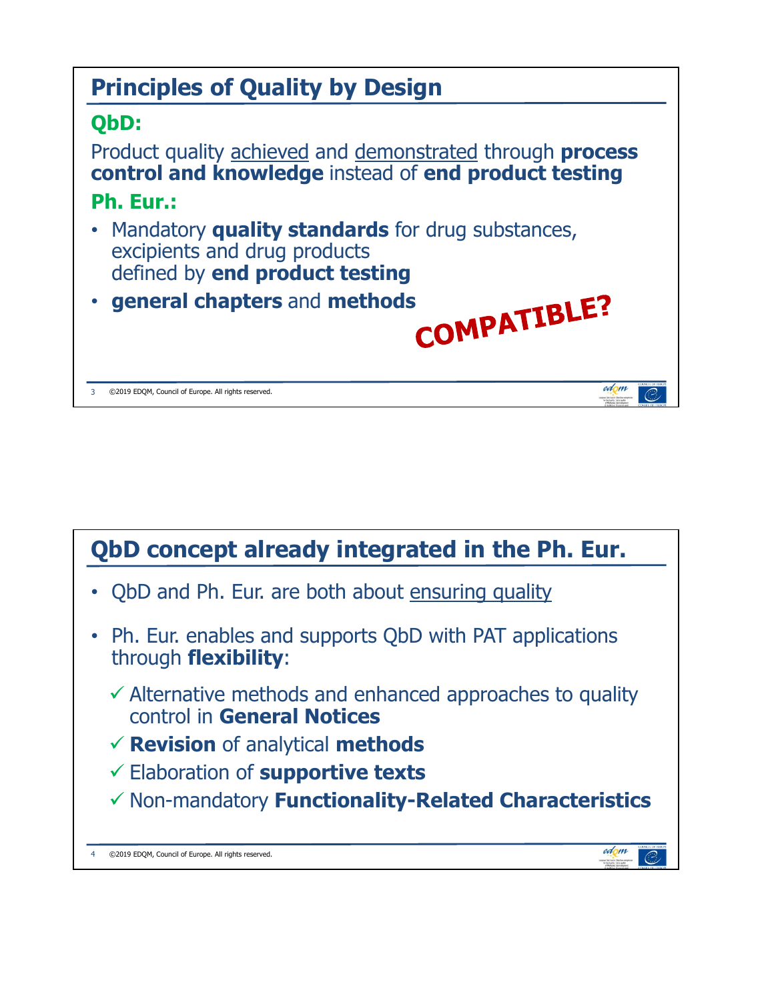

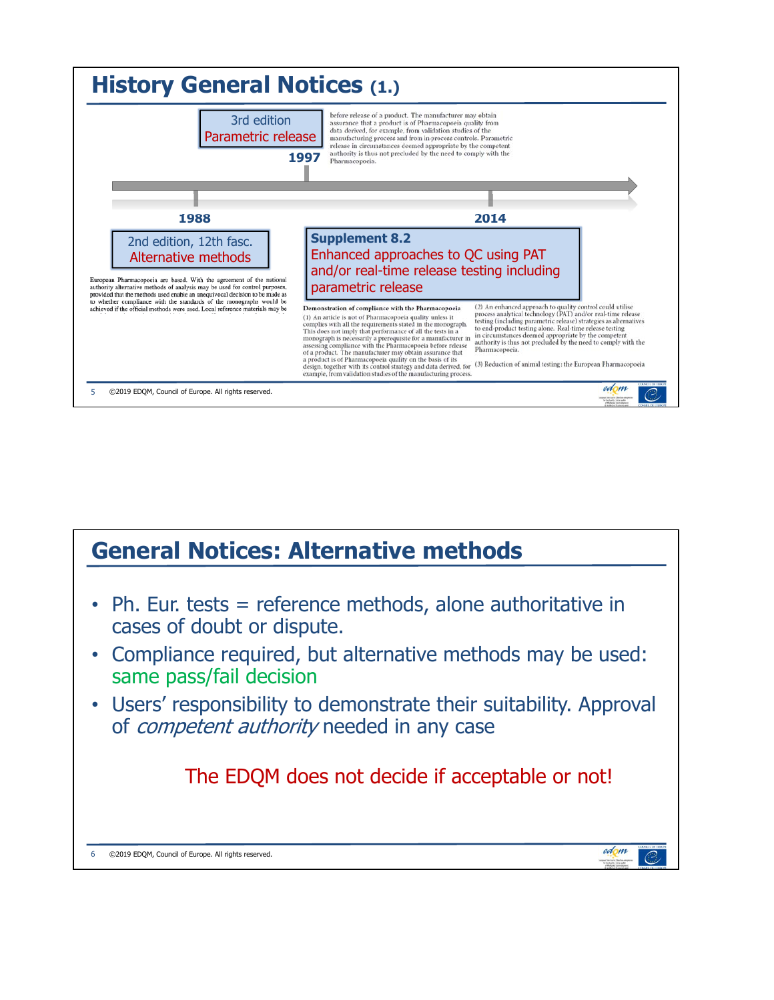

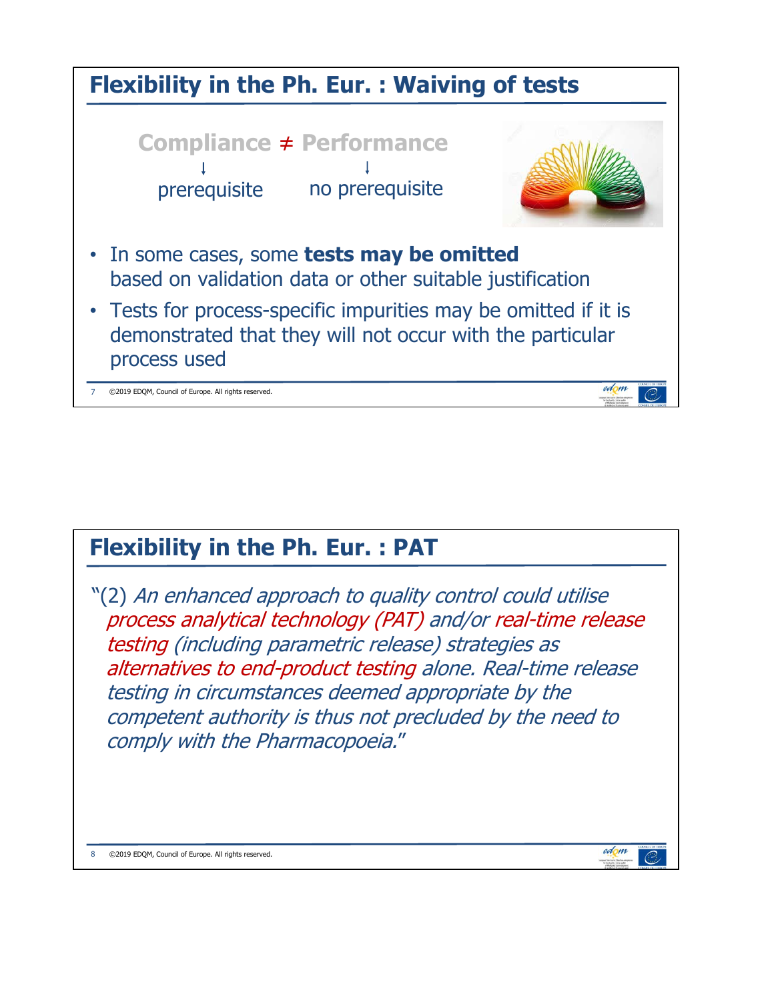

## **Flexibility in the Ph. Eur. : PAT**

"(2) An enhanced approach to quality control could utilise process analytical technology (PAT) and/or real-time release testing (including parametric release) strategies as alternatives to end-product testing alone. Real-time release testing in circumstances deemed appropriate by the competent authority is thus not precluded by the need to comply with the Pharmacopoeia."

edom

Q

©2019 EDQM, Council of Europe. All rights reserved.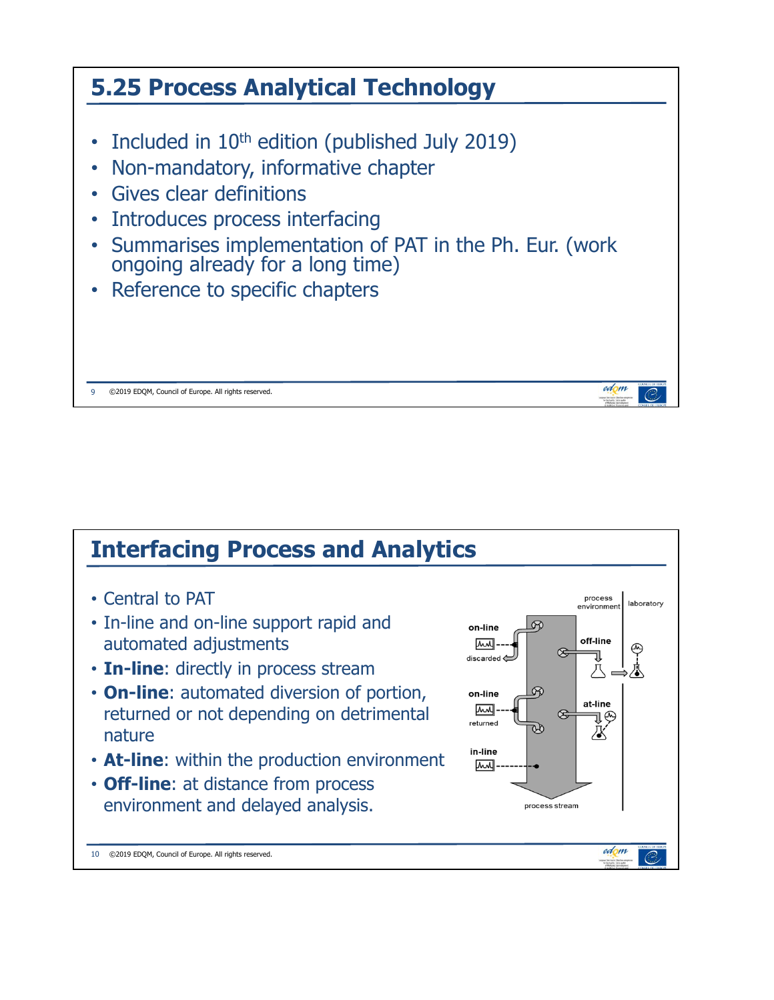

## **Interfacing Process and Analytics**

- Central to PAT
- In-line and on-line support rapid and automated adjustments
- **In-line**: directly in process stream
- **On-line**: automated diversion of portion, returned or not depending on detrimental nature
- **At-line**: within the production environment
- **Off-line**: at distance from process environment and delayed analysis.



10 ©2019 EDQM, Council of Europe. All rights reserved.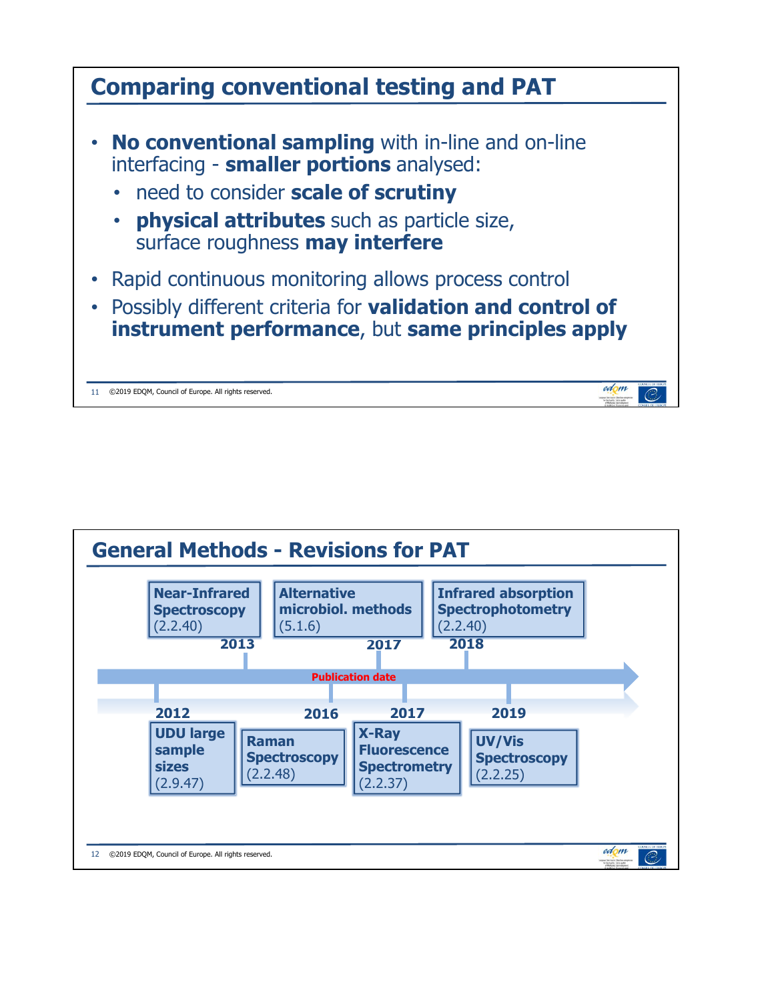

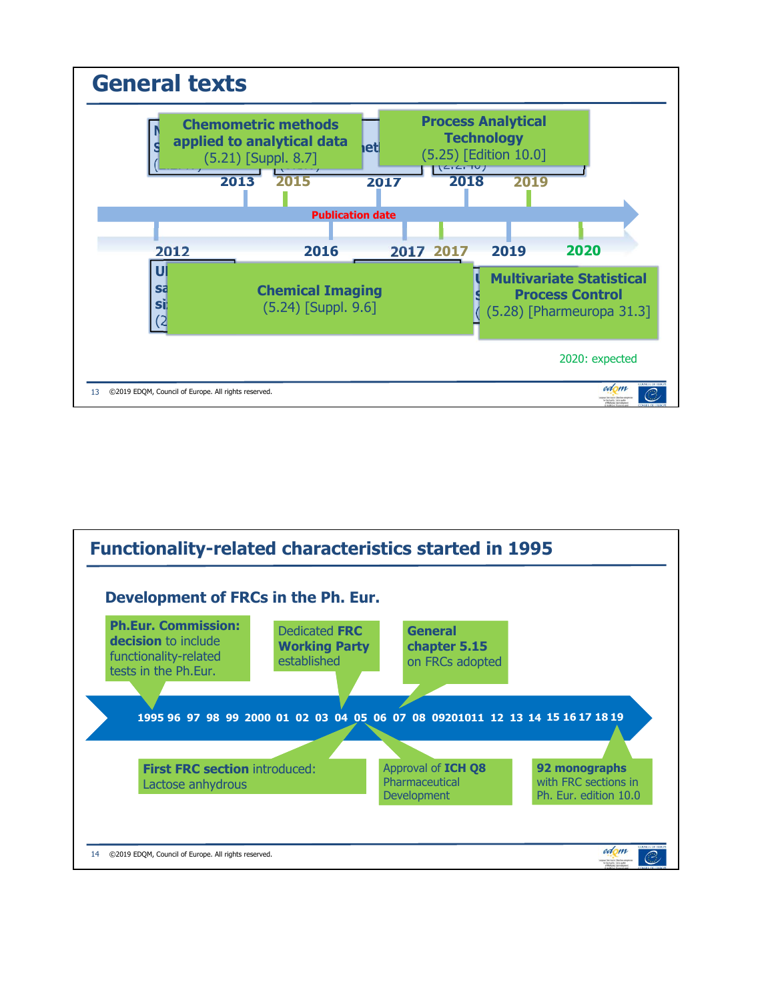

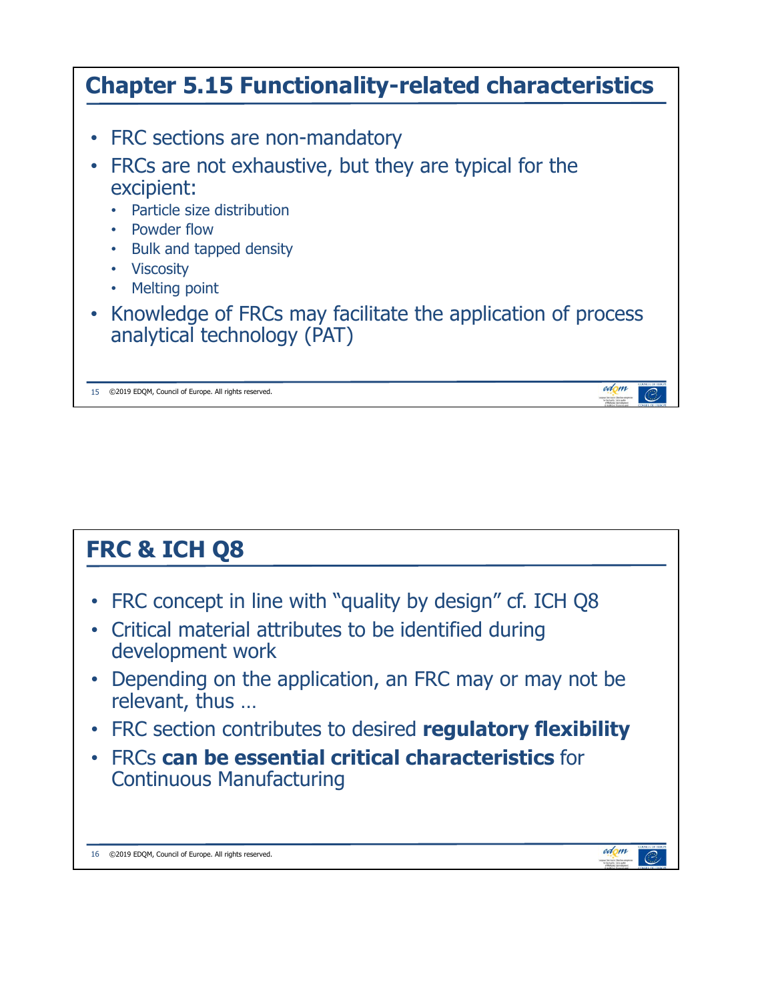